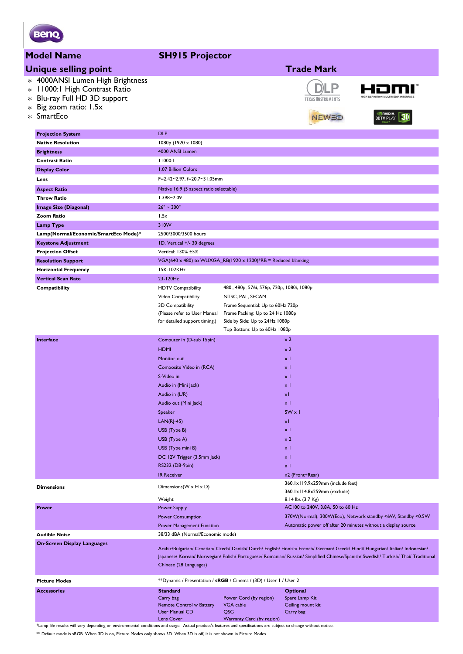

### **Model Name SH915 Projector**

|                       | riogei name                                                                                                                         | <b>SH715</b> Frojector                                                                                                                |                                                                                                                                                                                                                                                                          |                                                                                      |                                                             |
|-----------------------|-------------------------------------------------------------------------------------------------------------------------------------|---------------------------------------------------------------------------------------------------------------------------------------|--------------------------------------------------------------------------------------------------------------------------------------------------------------------------------------------------------------------------------------------------------------------------|--------------------------------------------------------------------------------------|-------------------------------------------------------------|
|                       | <b>Unique selling point</b>                                                                                                         |                                                                                                                                       |                                                                                                                                                                                                                                                                          | <b>Trade Mark</b>                                                                    |                                                             |
| $\ast$<br>$\ast$<br>* | * 4000ANSI Lumen High Brightness<br>11000:1 High Contrast Ratio<br>Blu-ray Full HD 3D support<br>Big zoom ratio: 1.5x<br>* SmartEco |                                                                                                                                       |                                                                                                                                                                                                                                                                          | <b>TEXAS INSTRUMENTS</b><br>NEWBD                                                    | <b>I</b> NIDIA<br><b>3D</b><br><b>3DTV PLAY</b>             |
|                       | <b>Projection System</b>                                                                                                            | <b>DLP</b>                                                                                                                            |                                                                                                                                                                                                                                                                          |                                                                                      |                                                             |
|                       | <b>Native Resolution</b>                                                                                                            | $1080p$ (1920 x 1080)                                                                                                                 |                                                                                                                                                                                                                                                                          |                                                                                      |                                                             |
|                       | <b>Brightness</b>                                                                                                                   | 4000 ANSI Lumen                                                                                                                       |                                                                                                                                                                                                                                                                          |                                                                                      |                                                             |
|                       | <b>Contrast Ratio</b>                                                                                                               | 11000:1                                                                                                                               |                                                                                                                                                                                                                                                                          |                                                                                      |                                                             |
|                       | <b>Display Color</b>                                                                                                                | 1.07 Billion Colors                                                                                                                   |                                                                                                                                                                                                                                                                          |                                                                                      |                                                             |
|                       | Lens                                                                                                                                | F=2.42~2.97, f=20.7~31.05mm                                                                                                           |                                                                                                                                                                                                                                                                          |                                                                                      |                                                             |
|                       | <b>Aspect Ratio</b>                                                                                                                 | Native 16:9 (5 aspect ratio selectable)                                                                                               |                                                                                                                                                                                                                                                                          |                                                                                      |                                                             |
|                       | <b>Throw Ratio</b>                                                                                                                  | 1.398~2.09                                                                                                                            |                                                                                                                                                                                                                                                                          |                                                                                      |                                                             |
|                       | <b>Image Size (Diagonal)</b>                                                                                                        | $26" \sim 300"$                                                                                                                       |                                                                                                                                                                                                                                                                          |                                                                                      |                                                             |
|                       | <b>Zoom Ratio</b>                                                                                                                   | 1.5x                                                                                                                                  |                                                                                                                                                                                                                                                                          |                                                                                      |                                                             |
|                       | <b>Lamp Type</b>                                                                                                                    | 310W                                                                                                                                  |                                                                                                                                                                                                                                                                          |                                                                                      |                                                             |
|                       | Lamp(Normal/Economic/SmartEco Mode)*                                                                                                | 2500/3000/3500 hours                                                                                                                  |                                                                                                                                                                                                                                                                          |                                                                                      |                                                             |
|                       | <b>Keystone Adjustment</b>                                                                                                          | ID, Vertical +/- 30 degrees                                                                                                           |                                                                                                                                                                                                                                                                          |                                                                                      |                                                             |
|                       | <b>Projection Offset</b>                                                                                                            | Vertical: 130% ±5%                                                                                                                    |                                                                                                                                                                                                                                                                          |                                                                                      |                                                             |
|                       | <b>Resolution Support</b>                                                                                                           | VGA(640 x 480) to WUXGA_RB(1920 x 1200)*RB = Reduced blanking                                                                         |                                                                                                                                                                                                                                                                          |                                                                                      |                                                             |
|                       | <b>Horizontal Frequency</b>                                                                                                         | 15K-102KHz                                                                                                                            |                                                                                                                                                                                                                                                                          |                                                                                      |                                                             |
|                       | <b>Vertical Scan Rate</b>                                                                                                           | 23-120Hz                                                                                                                              |                                                                                                                                                                                                                                                                          |                                                                                      |                                                             |
|                       | Compatibility                                                                                                                       | <b>HDTV Compatibility</b><br>Video Compatibility<br>3D Compatibility<br>(Please refer to User Manual<br>for detailed support timing.) | 480i, 480p, 576i, 576p, 720p, 1080i, 1080p<br>NTSC, PAL, SECAM<br>Frame Sequential: Up to 60Hz 720p<br>Frame Packing: Up to 24 Hz 1080p<br>Side by Side: Up to 24Hz 1080p                                                                                                |                                                                                      |                                                             |
|                       |                                                                                                                                     |                                                                                                                                       | Top Bottom: Up to 60Hz 1080p                                                                                                                                                                                                                                             |                                                                                      |                                                             |
|                       | Interface                                                                                                                           | Computer in (D-sub 15pin)                                                                                                             |                                                                                                                                                                                                                                                                          | x <sub>2</sub>                                                                       |                                                             |
|                       |                                                                                                                                     | <b>HDMI</b>                                                                                                                           |                                                                                                                                                                                                                                                                          | x <sub>2</sub>                                                                       |                                                             |
|                       |                                                                                                                                     | Monitor out<br>Composite Video in (RCA)                                                                                               |                                                                                                                                                                                                                                                                          | $\times$ 1<br>$\times$ 1                                                             |                                                             |
|                       |                                                                                                                                     | S-Video in                                                                                                                            |                                                                                                                                                                                                                                                                          | $\times$ 1                                                                           |                                                             |
|                       |                                                                                                                                     | Audio in (Mini Jack)                                                                                                                  |                                                                                                                                                                                                                                                                          | $\times$ 1                                                                           |                                                             |
|                       |                                                                                                                                     | Audio in (L/R)                                                                                                                        |                                                                                                                                                                                                                                                                          | xI                                                                                   |                                                             |
|                       |                                                                                                                                     | Audio out (Mini Jack)                                                                                                                 |                                                                                                                                                                                                                                                                          | $\times$ 1                                                                           |                                                             |
|                       |                                                                                                                                     | Speaker                                                                                                                               |                                                                                                                                                                                                                                                                          | $5W \times 1$                                                                        |                                                             |
|                       |                                                                                                                                     | $LAN(RJ-45)$                                                                                                                          |                                                                                                                                                                                                                                                                          | xI                                                                                   |                                                             |
|                       |                                                                                                                                     | USB (Type B)                                                                                                                          |                                                                                                                                                                                                                                                                          | x <sub>1</sub>                                                                       |                                                             |
|                       |                                                                                                                                     | USB (Type A)                                                                                                                          |                                                                                                                                                                                                                                                                          | x <sub>2</sub>                                                                       |                                                             |
|                       |                                                                                                                                     | USB (Type mini B)                                                                                                                     |                                                                                                                                                                                                                                                                          | $\times$ 1                                                                           |                                                             |
|                       |                                                                                                                                     | DC 12V Trigger (3.5mm Jack)                                                                                                           |                                                                                                                                                                                                                                                                          | $\times$ 1                                                                           |                                                             |
|                       |                                                                                                                                     | RS232 (DB-9pin)                                                                                                                       |                                                                                                                                                                                                                                                                          | $\times$ 1                                                                           |                                                             |
|                       |                                                                                                                                     | <b>IR Receiver</b>                                                                                                                    |                                                                                                                                                                                                                                                                          | x2 (Front+Rear)                                                                      |                                                             |
|                       | <b>Dimensions</b>                                                                                                                   | Dimensions (W x H x D)<br>Weight                                                                                                      |                                                                                                                                                                                                                                                                          | 360.1x119.9x259mm (include feet)<br>360.1x114.8x259mm (exclude)<br>8.14 lbs (3.7 Kg) |                                                             |
|                       | Power                                                                                                                               | <b>Power Supply</b>                                                                                                                   |                                                                                                                                                                                                                                                                          | AC100 to 240V, 3.8A, 50 to 60 Hz                                                     |                                                             |
|                       |                                                                                                                                     | <b>Power Consumption</b>                                                                                                              |                                                                                                                                                                                                                                                                          |                                                                                      | 370W(Normal), 300W(Eco), Network standby <6W, Standby <0.5W |
|                       |                                                                                                                                     | <b>Power Management Function</b>                                                                                                      |                                                                                                                                                                                                                                                                          | Automatic power off after 20 minutes without a display source                        |                                                             |
|                       | <b>Audible Noise</b>                                                                                                                | 38/33 dBA (Normal/Economic mode)                                                                                                      |                                                                                                                                                                                                                                                                          |                                                                                      |                                                             |
|                       | <b>On-Screen Display Languages</b>                                                                                                  |                                                                                                                                       | Arabic/Bulgarian/ Croatian/ Czech/ Danish/ Dutch/ English/ Finnish/ French/ German/ Greek/ Hindi/ Hungarian/ Italian/ Indonesian/<br>Japanese/ Korean/ Norwegian/ Polish/ Portuguese/ Romanian/ Russian/ Simplified Chinese/Spanish/ Swedish/ Turkish/ Thai/ Traditional |                                                                                      |                                                             |
|                       | <b>Picture Modes</b>                                                                                                                |                                                                                                                                       |                                                                                                                                                                                                                                                                          |                                                                                      |                                                             |
|                       | <b>Accessories</b>                                                                                                                  | **Dynamic / Presentation / sRGB / Cinema / (3D) / User 1 / User 2<br><b>Standard</b>                                                  |                                                                                                                                                                                                                                                                          | <b>Optional</b>                                                                      |                                                             |
|                       |                                                                                                                                     | Carry bag<br><b>Remote Control w Battery</b><br><b>User Manual CD</b><br>Lens Cover                                                   | Power Cord (by region)<br>VGA cable<br><b>QSG</b><br>Warranty Card (by region)                                                                                                                                                                                           | Spare Lamp Kit<br>Ceiling mount kit<br>Carry bag                                     |                                                             |

\*Lamp life results will vary depending on environmental conditions and usage. Actual product's features and specifications are subject to change without notice.

\*\* Default mode is sRGB. When 3D is on, Picture Modes only shows 3D. When 3D is off, it is not shown in Picture Modes.